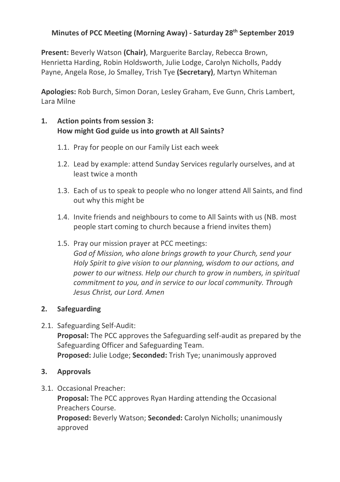# **Minutes of PCC Meeting (Morning Away) - Saturday 28th September 2019**

**Present:** Beverly Watson **(Chair)**, Marguerite Barclay, Rebecca Brown, Henrietta Harding, Robin Holdsworth, Julie Lodge, Carolyn Nicholls, Paddy Payne, Angela Rose, Jo Smalley, Trish Tye **(Secretary)**, Martyn Whiteman

**Apologies:** Rob Burch, Simon Doran, Lesley Graham, Eve Gunn, Chris Lambert, Lara Milne

# **1. Action points from session 3: How might God guide us into growth at All Saints?**

- 1.1. Pray for people on our Family List each week
- 1.2. Lead by example: attend Sunday Services regularly ourselves, and at least twice a month
- 1.3. Each of us to speak to people who no longer attend All Saints, and find out why this might be
- 1.4. Invite friends and neighbours to come to All Saints with us (NB. most people start coming to church because a friend invites them)
- 1.5. Pray our mission prayer at PCC meetings: *God of Mission, who alone brings growth to your Church, send your Holy Spirit to give vision to our planning, wisdom to our actions, and power to our witness. Help our church to grow in numbers, in spiritual commitment to you, and in service to our local community. Through Jesus Christ, our Lord. Amen*

### **2. Safeguarding**

2.1. Safeguarding Self-Audit:

**Proposal:** The PCC approves the Safeguarding self-audit as prepared by the Safeguarding Officer and Safeguarding Team. **Proposed:** Julie Lodge; **Seconded:** Trish Tye; unanimously approved

### **3. Approvals**

3.1. Occasional Preacher:

**Proposal:** The PCC approves Ryan Harding attending the Occasional Preachers Course.

**Proposed:** Beverly Watson; **Seconded:** Carolyn Nicholls; unanimously approved